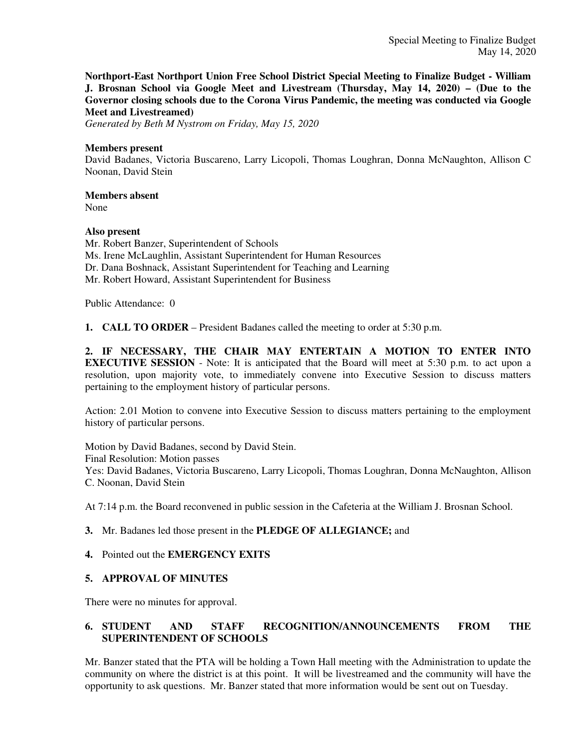**Northport-East Northport Union Free School District Special Meeting to Finalize Budget - William J. Brosnan School via Google Meet and Livestream (Thursday, May 14, 2020) – (Due to the Governor closing schools due to the Corona Virus Pandemic, the meeting was conducted via Google Meet and Livestreamed)**

*Generated by Beth M Nystrom on Friday, May 15, 2020*

#### **Members present**

David Badanes, Victoria Buscareno, Larry Licopoli, Thomas Loughran, Donna McNaughton, Allison C Noonan, David Stein

### **Members absent**

None

### **Also present**

Mr. Robert Banzer, Superintendent of Schools Ms. Irene McLaughlin, Assistant Superintendent for Human Resources Dr. Dana Boshnack, Assistant Superintendent for Teaching and Learning Mr. Robert Howard, Assistant Superintendent for Business

Public Attendance: 0

**1. CALL TO ORDER** – President Badanes called the meeting to order at 5:30 p.m.

**2. IF NECESSARY, THE CHAIR MAY ENTERTAIN A MOTION TO ENTER INTO EXECUTIVE SESSION** - Note: It is anticipated that the Board will meet at 5:30 p.m. to act upon a resolution, upon majority vote, to immediately convene into Executive Session to discuss matters pertaining to the employment history of particular persons.

Action: 2.01 Motion to convene into Executive Session to discuss matters pertaining to the employment history of particular persons.

Motion by David Badanes, second by David Stein. Final Resolution: Motion passes Yes: David Badanes, Victoria Buscareno, Larry Licopoli, Thomas Loughran, Donna McNaughton, Allison C. Noonan, David Stein

At 7:14 p.m. the Board reconvened in public session in the Cafeteria at the William J. Brosnan School.

### **3.** Mr. Badanes led those present in the **PLEDGE OF ALLEGIANCE;** and

#### **4.** Pointed out the **EMERGENCY EXITS**

### **5. APPROVAL OF MINUTES**

There were no minutes for approval.

### **6. STUDENT AND STAFF RECOGNITION/ANNOUNCEMENTS FROM THE SUPERINTENDENT OF SCHOOLS**

Mr. Banzer stated that the PTA will be holding a Town Hall meeting with the Administration to update the community on where the district is at this point. It will be livestreamed and the community will have the opportunity to ask questions. Mr. Banzer stated that more information would be sent out on Tuesday.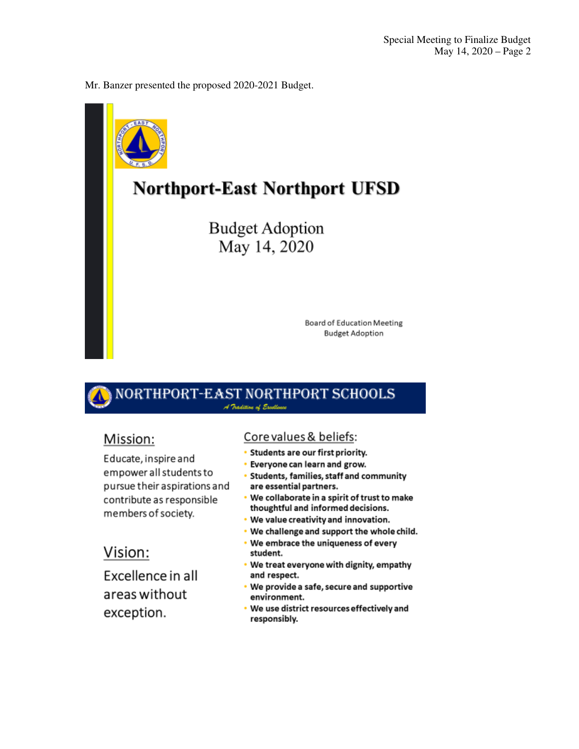Mr. Banzer presented the proposed 2020-2021 Budget.



## **HPORT-EAST NORTHPORT SCHOOLS**

### Mission:

Educate, inspire and empower all students to pursue their aspirations and contribute as responsible members of society.

## Vision:

Excellence in all areas without exception.

### Core values & beliefs:

- Students are our first priority. ×
- Everyone can learn and grow.
- Students, families, staff and community ٠ are essential partners.
- × We collaborate in a spirit of trust to make thoughtful and informed decisions.
- We value creativity and innovation. ٠
- . We challenge and support the whole child.
- We embrace the uniqueness of every × student.
- . We treat everyone with dignity, empathy and respect.
- We provide a safe, secure and supportive environment.
- We use district resources effectively and responsibly.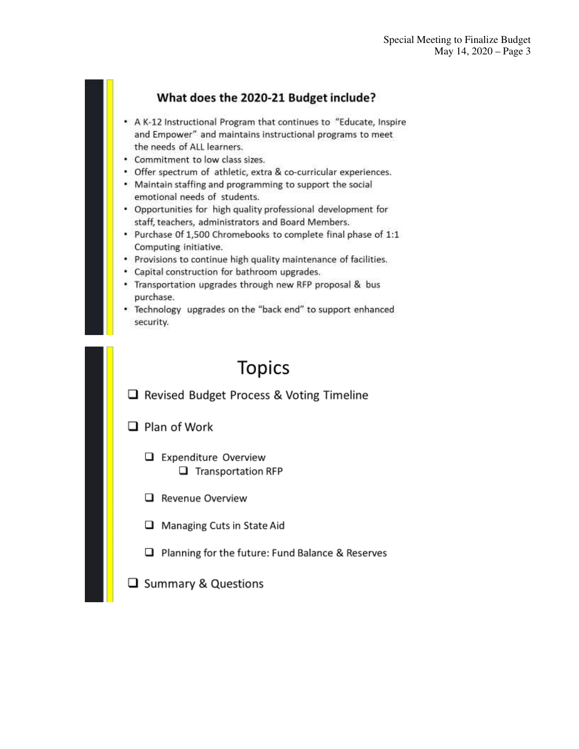### What does the 2020-21 Budget include?

- A K-12 Instructional Program that continues to "Educate, Inspire and Empower" and maintains instructional programs to meet the needs of ALL learners.
- Commitment to low class sizes.
- · Offer spectrum of athletic, extra & co-curricular experiences.
- . Maintain staffing and programming to support the social emotional needs of students.
- Opportunities for high quality professional development for staff, teachers, administrators and Board Members.
- Purchase Of 1,500 Chromebooks to complete final phase of 1:1 Computing initiative.
- Provisions to continue high quality maintenance of facilities.
- Capital construction for bathroom upgrades.
- . Transportation upgrades through new RFP proposal & bus purchase.
- Technology upgrades on the "back end" to support enhanced security.

## **Topics**

Revised Budget Process & Voting Timeline

 $\Box$  Plan of Work

- Expenditure Overview  $\Box$  Transportation RFP
- Revenue Overview
- Managing Cuts in State Aid
- $\Box$  Planning for the future: Fund Balance & Reserves
- □ Summary & Questions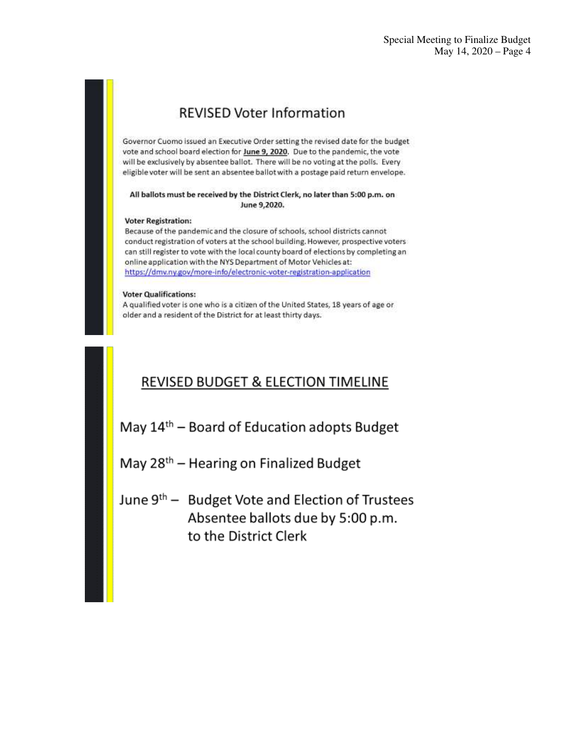### **REVISED Voter Information**

Governor Cuomo issued an Executive Order setting the revised date for the budget vote and school board election for June 9, 2020. Due to the pandemic, the vote will be exclusively by absentee ballot. There will be no voting at the polls. Every eligible voter will be sent an absentee ballot with a postage paid return envelope.

#### All ballots must be received by the District Clerk, no later than 5:00 p.m. on June 9,2020.

#### **Voter Registration:**

Because of the pandemic and the closure of schools, school districts cannot conduct registration of voters at the school building. However, prospective voters can still register to vote with the local county board of elections by completing an online application with the NYS Department of Motor Vehicles at: https://dmv.ny.gov/more-info/electronic-voter-registration-application

#### **Voter Qualifications:**

A qualified voter is one who is a citizen of the United States, 18 years of age or older and a resident of the District for at least thirty days.

## REVISED BUDGET & ELECTION TIMELINE

May 14<sup>th</sup> – Board of Education adopts Budget

May 28<sup>th</sup> – Hearing on Finalized Budget

June 9<sup>th</sup> - Budget Vote and Election of Trustees Absentee ballots due by 5:00 p.m. to the District Clerk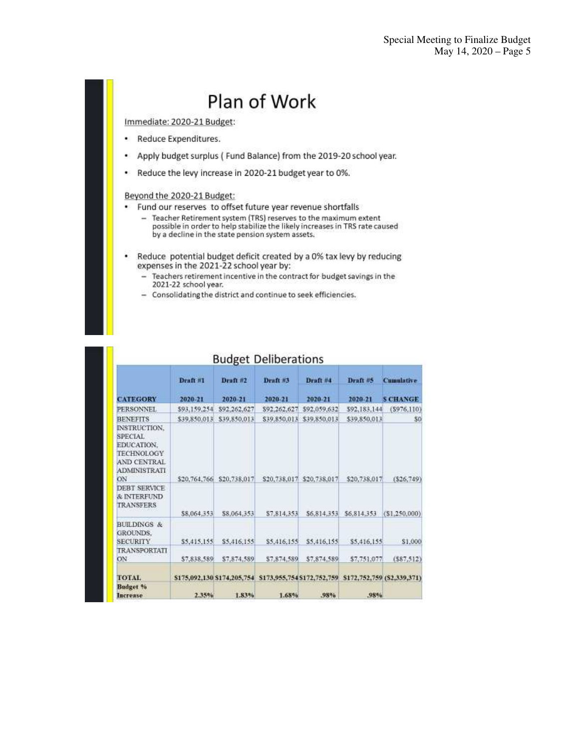## Plan of Work

Immediate: 2020-21 Budget:

- ٠. Reduce Expenditures.
- Apply budget surplus ( Fund Balance) from the 2019-20 school year.  $\bullet$
- Reduce the levy increase in 2020-21 budget year to 0%.

#### Beyond the 2020-21 Budget:

- . Fund our reserves to offset future year revenue shortfalls
	- Teacher Retirement system (TRS) reserves to the maximum extent possible in order to help stabilize the likely increases in TRS rate caused by a decline in the state pension system assets.
- $\bullet$ Reduce potential budget deficit created by a 0% tax levy by reducing expenses in the 2021-22 school year by:
	- Teachers retirement incentive in the contract for budget savings in the 2021-22 school year.
	- Consolidating the district and continue to seek efficiencies.

|                                                                                                                                    | Draft #1     | Draft $#2$   | Draft #3                                                                            | Draff #4                  | Draft #5      | <b>Cumulative</b> |
|------------------------------------------------------------------------------------------------------------------------------------|--------------|--------------|-------------------------------------------------------------------------------------|---------------------------|---------------|-------------------|
| <b>CATEGORY</b>                                                                                                                    | 2020-21      | 2020-21      | 2020-21                                                                             | 2020-21                   | 2020-21       | <b>S CHANGE</b>   |
| <b>PERSONNEL</b>                                                                                                                   | \$93,159,254 | \$92,262,627 | \$92,262,627                                                                        | \$92,059,632              | 592, 183, 144 | $($ \$976.110 $)$ |
| <b>BENEFITS</b>                                                                                                                    | \$39,850,013 | \$39,850,013 | \$39,850,013                                                                        | \$39,850,013              | \$39,850,013  | 50                |
| <b>INSTRUCTION.</b><br><b>SPECIAL</b><br><b>EDUCATION.</b><br><b>TECHNOLOGY</b><br><b>AND CENTRAL</b><br><b>ADMINISTRATI</b><br>ON | \$20,764,766 | \$20,738,017 |                                                                                     | \$20,738,017 \$20,738,017 | \$20,738,017  | (526.749)         |
| <b>DEBT SERVICE</b><br>& INTERFUND<br><b>TRANSFERS</b>                                                                             | \$8,064,353  | \$8,064,353  | \$7,814,353                                                                         | \$6,814,353               | \$6,814,353   | (S1.250.000)      |
| <b>BUILDINGS &amp;</b><br>GROUNDS.<br><b>SECURITY</b>                                                                              | \$5,415,155  | \$5,416,155  | \$5,416,155                                                                         | \$5,416,155               | \$5,416.155   | \$1,000           |
| <b>TRANSPORTATI</b><br>ON                                                                                                          | \$7,838,589  | \$7,874,589  | \$7,874,589                                                                         | \$7,874,589               | \$7,751,077   | (587, 512)        |
| <b>TOTAL</b>                                                                                                                       |              |              | \$175,092,130 \$174,205,754 \$173,955,754 \$172,752,759 \$172,752,759 (\$2,339,371) |                           |               |                   |
| <b>Budget %</b><br>Increase                                                                                                        | 2.35%        | 1.83%        | 1.68%                                                                               | .98%                      | .98%          |                   |

### **Budget Deliberations**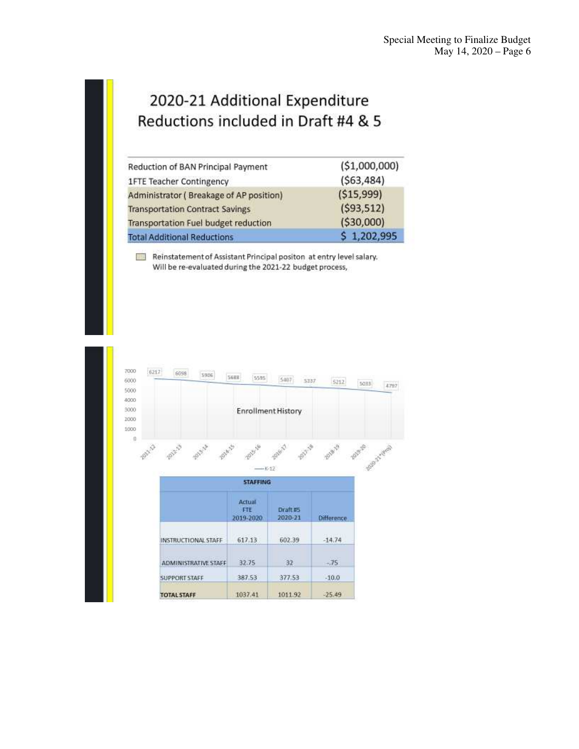## 2020-21 Additional Expenditure Reductions included in Draft #4 & 5

| Reduction of BAN Principal Payment      | ( \$1,000,000) |
|-----------------------------------------|----------------|
| 1FTE Teacher Contingency                | ( \$63,484)    |
| Administrator (Breakage of AP position) | (515,999)      |
| <b>Transportation Contract Savings</b>  | (593, 512)     |
| Transportation Fuel budget reduction    | (530,000)      |
| <b>Total Additional Reductions</b>      | \$1,202,995    |

Reinstatement of Assistant Principal positon at entry level salary. Will be re-evaluated during the 2021-22 budget process,

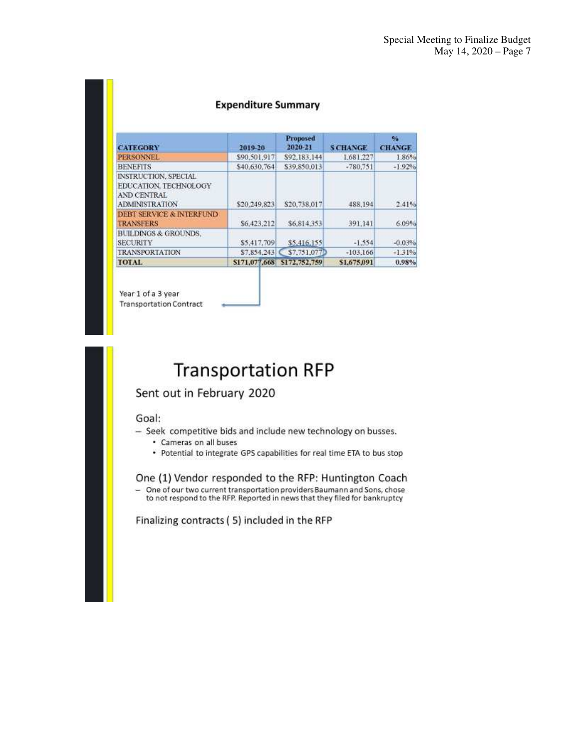### **Expenditure Summary**

| <b>CATEGORY</b>                                                                              | 2019-20       | Proposed<br>2020-21 | <b>SCHANGE</b> | 96<br><b>CHANGE</b> |
|----------------------------------------------------------------------------------------------|---------------|---------------------|----------------|---------------------|
| <b>PERSONNEL</b>                                                                             | \$90,501,917  | \$92,183,144        | 1,681,227      | 1.86%               |
| <b>BENEFITS</b>                                                                              | \$40,630,764  | \$39,850,013        | $-780.751$     | $-1.92%$            |
| INSTRUCTION, SPECIAL<br>EDUCATION, TECHNOLOGY<br><b>AND CENTRAL</b><br><b>ADMINISTRATION</b> | \$20,249,823  | \$20,738,017        | 488,194        | 2.41%               |
| <b>DEBT SERVICE &amp; INTERFUND</b><br><b>TRANSFERS</b>                                      | \$6,423,212   | \$6,814,353         | 391.141        | 6.09%               |
| <b>BUILDINGS &amp; GROUNDS.</b><br><b>SECURITY</b>                                           | \$5,417,709   | \$5,416,155         | $-1.554$       | $-0.03%$            |
| <b>TRANSPORTATION</b>                                                                        | \$7,854,243   | \$7,751,077         | $-103.166$     | $-1.31%$            |
| <b>TOTAL</b>                                                                                 | \$171,077,668 | S172,752,759        | \$1,675,091    | 0.98%               |

Year 1 of a 3 year **Transportation Contract** 

**Transportation RFP** 

### Sent out in February 2020

Goal:

- Seek competitive bids and include new technology on busses.
	- · Cameras on all buses
	- Potential to integrate GPS capabilities for real time ETA to bus stop

One (1) Vendor responded to the RFP: Huntington Coach

One of our two current transportation providers Baumann and Sons, chose  $\pm$ to not respond to the RFP. Reported in news that they filed for bankruptcy

Finalizing contracts (5) included in the RFP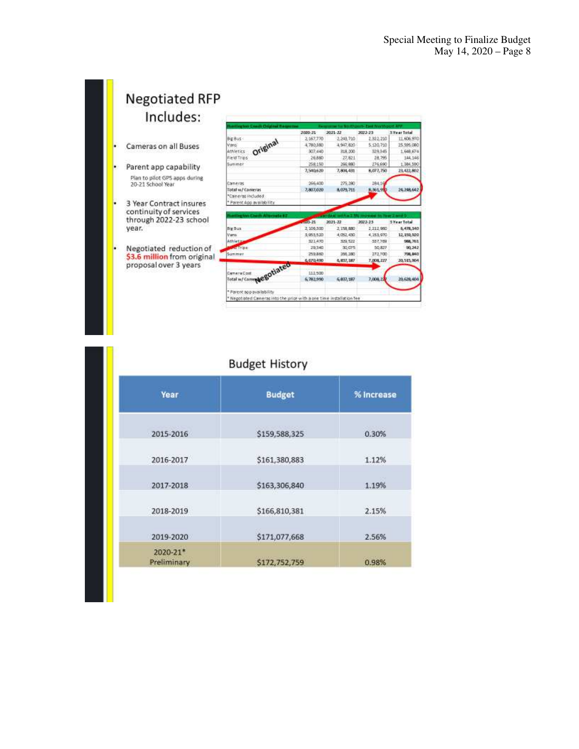## **Negotiated RFP** Includes:

- Cameras on all Buses
- Parent app capability Plan to pilot GPS apps during<br>20-21 School Year
- 3 Year Contract insures<br>continuity of services through 2022-23 school year.
- Negotiated reduction of<br>**\$3.6 million** from original<br>proposal over 3 years

| <b>Buildington Coash Original Belateries:</b> |              | <b>Begrame for Bostnasst-Bast Martheast-RNF</b> |                   |                                                |
|-----------------------------------------------|--------------|-------------------------------------------------|-------------------|------------------------------------------------|
|                                               | 2020-21      | 2021-22                                         | 2022-23           | 3 Year Total                                   |
| Big Bus -                                     | 2 567,770    | 2,243,710                                       | 2.322.210         | 11,606,970                                     |
| View:                                         | 4,780,880    | 4.947.820                                       | 5.320.790         | 35,595,080                                     |
| Original<br>Athletics                         | 307 440      | 318, 200                                        | 329.945           | 1,648,674                                      |
| Field Trips                                   | 26,880       | 27.821                                          | 28.799            | 144, 166                                       |
| Summer                                        | 258.150      | 266, 880                                        | 376,690           | 1,384,580                                      |
|                                               | 7.540,620    | 7,804,431                                       | 8,077,750         | 23,422,802                                     |
| Cameras                                       | 266,400      | 275, 280                                        | 184.16            |                                                |
| Total w/ Cameras                              | 7,807,020    | 8.079.711                                       | 8,361.930         | 24, 248, 642                                   |
| *Cameras included                             |              |                                                 |                   |                                                |
| * Parent App availability                     |              |                                                 |                   |                                                |
|                                               |              |                                                 |                   |                                                |
| <b>Histlington Covin Alternate 87</b>         |              | Ore at deal mithia 2.5% mones to feet 2 and 5.  |                   |                                                |
|                                               |              |                                                 |                   |                                                |
|                                               | $-0.01 - 25$ | 2021-22                                         | 2022-23           | <b>SYnar Total</b>                             |
|                                               | 2,106,300    | 2,158,880                                       | 2,217,980         |                                                |
| Big Bizt<br>Varm                              | 3,955,520    | 4.052.430                                       | 4,153,970         |                                                |
|                                               | 321,430      | 329 522                                         | -557,769          |                                                |
| <b>Contribution</b>                           | 29,340       | 30.075                                          | 50,827            | 5,478,140<br>12, 150, 920<br>068,761<br>90.142 |
|                                               | 259,860      | 265, 380                                        | 272,700           | 708,840                                        |
|                                               | 6,670,490    | A 837, 187                                      | <b>7.008, 227</b> |                                                |
|                                               |              |                                                 |                   |                                                |
| Athletic<br>Scottmer                          | 111500       |                                                 |                   | 20,515,904                                     |
| Total w/ Commerce Botlated                    | 6.782.990    | 6,837,187                                       | 7,008.22          | 20,628,404                                     |

### **Budget History**

| Year                    | <b>Budget</b> | % Increase             |
|-------------------------|---------------|------------------------|
| 2015-2016               | \$159,588,325 | <b>SCARON</b><br>0.30% |
| 2016-2017               | \$161,380,883 | 1.12%                  |
| 2017-2018               | \$163,306,840 | <b>TEM</b><br>1.19%    |
| 2018-2019               | \$166,810,381 | 2.15%                  |
| 2019-2020               | \$171,077,668 | 2.56%                  |
| 2020-21*<br>Preliminary | \$172,752,759 | 0.98%                  |
|                         |               |                        |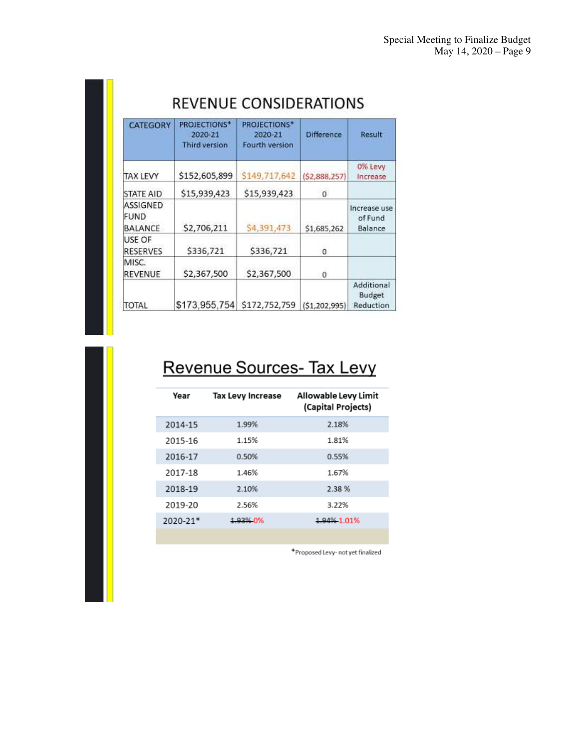| <b>CATEGORY</b>             | <b>PROJECTIONS*</b><br>2020-21<br>Third version | PROJECTIONS*<br>2020-21<br>Fourth version | <b>Difference</b> | Result                                   |
|-----------------------------|-------------------------------------------------|-------------------------------------------|-------------------|------------------------------------------|
| TAX LEVY                    | \$152,605,899                                   | \$149,717,642                             | (52,888,257)      | 0% Levy<br>Increase                      |
| STATE AID                   | \$15,939,423                                    | \$15,939,423                              | 0                 |                                          |
| ASSIGNED<br>FUND<br>BALANCE | \$2,706,211                                     | 54,391,473                                | \$1,685,262       | Increase use<br>of Fund<br>Balance       |
| USE OF<br><b>RESERVES</b>   | \$336,721                                       | \$336,721                                 | 0                 |                                          |
| MISC.<br>REVENUE            | \$2,367,500                                     | \$2,367,500                               | 0                 |                                          |
| TOTAL                       | \$173,955,754                                   | \$172,752,759                             | (51, 202, 995)    | Additional<br><b>Budget</b><br>Reduction |

## REVENUE CONSIDERATIONS

# Revenue Sources- Tax Levy

| Year         | <b>Tax Levy Increase</b> | Allowable Levy Limit<br>(Capital Projects) |
|--------------|--------------------------|--------------------------------------------|
| 2014-15      | 1.99%                    | 2.18%                                      |
| 2015-16      | 1.15%                    | 1.81%                                      |
| 2016-17      | 0.50%                    | 0.55%                                      |
| 2017-18      | 1.46%                    | 1.67%                                      |
| 2018-19      | 2.10%                    | 2.38%                                      |
| 2019-20      | 2.56%                    | 3.22%                                      |
| $2020 - 21*$ | 1.93% 0%                 | 1.94%-1.01%                                |
|              |                          |                                            |

\*Proposed Levy- not yet finalized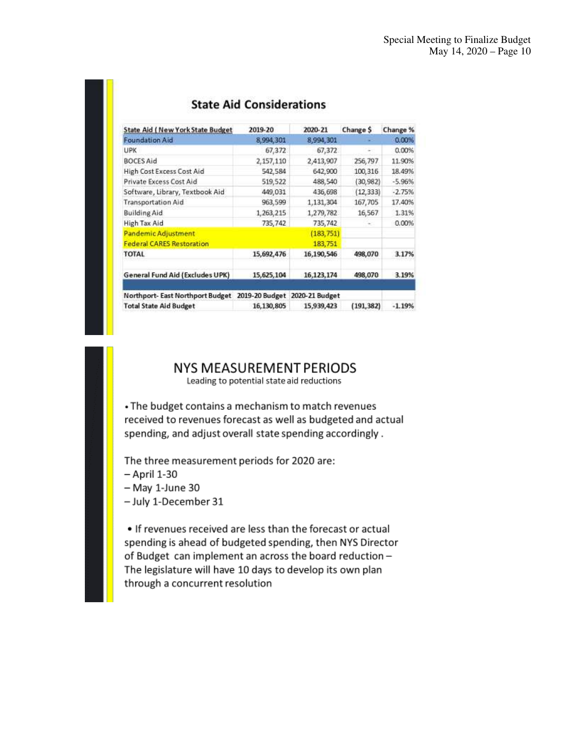| <b>State Aid (New York State Budget)</b> | 2019-20                       | 2020-21    | Change \$  | Change % |
|------------------------------------------|-------------------------------|------------|------------|----------|
| <b>Foundation Aid</b>                    | 8,994,301                     | 8,994,301  |            | 0.00%    |
| UPK                                      | 67,372                        | 67,372     |            | 0.00%    |
| <b>BOCES Aid</b>                         | 2, 157, 110                   | 2,413,907  | 256,797    | 11.90%   |
| High Cost Excess Cost Aid                | 542,584                       | 642,900    | 100,316    | 18.49%   |
| Private Excess Cost Aid                  | 519,522                       | 488,540    | (30, 982)  | $-5.96%$ |
| Software, Library, Textbook Aid          | 449,031                       | 436,698    | (12, 333)  | $-2.75%$ |
| <b>Transportation Aid</b>                | 963,599                       | 1,131,304  | 167,705    | 17.40%   |
| <b>Building Aid</b>                      | 1,263,215                     | 1,279,782  | 16,567     | 1.31%    |
| High Tax Aid                             | 735,742                       | 735,742    | ×.         | 0.00%    |
| Pandemic Adjustment                      |                               | (183, 751) |            |          |
| <b>Federal CARES Restoration</b>         |                               | 183,751    |            |          |
| TOTAL                                    | 15,692,476                    | 16,190,546 | 498,070    | 3.17%    |
| General Fund Aid (Excludes UPK)          | 15,625,104                    | 16,123,174 | 498,070    | 3.19%    |
| Northport- East Northport Budget         | 2019-20 Budget 2020-21 Budget |            |            |          |
| <b>Total State Aid Budget</b>            | 16,130,805                    | 15,939,423 | (191, 382) | $-1.19%$ |

### **State Aid Considerations**

### **NYS MEASUREMENT PERIODS**

Leading to potential state aid reductions

• The budget contains a mechanism to match revenues received to revenues forecast as well as budgeted and actual spending, and adjust overall state spending accordingly.

The three measurement periods for 2020 are:

- $-$  April 1-30
- May 1-June 30
- July 1-December 31

. If revenues received are less than the forecast or actual spending is ahead of budgeted spending, then NYS Director of Budget can implement an across the board reduction -The legislature will have 10 days to develop its own plan through a concurrent resolution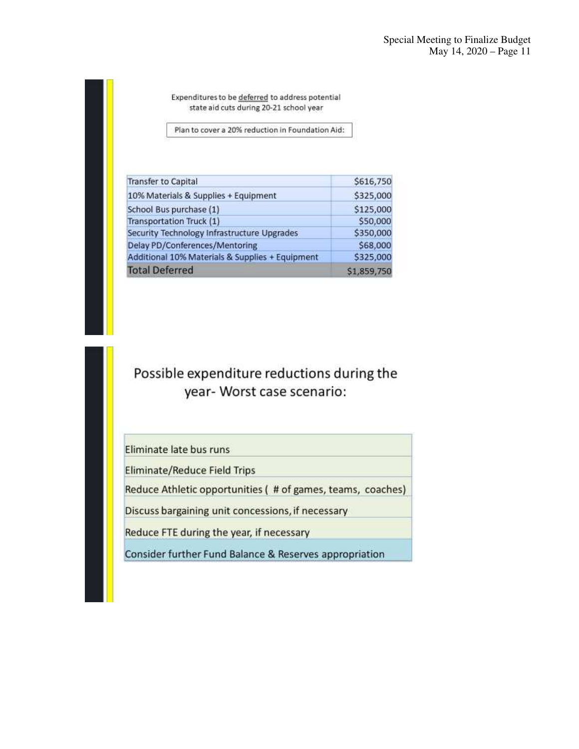Expenditures to be deferred to address potential state aid cuts during 20-21 school year

Plan to cover a 20% reduction in Foundation Aid:

| <b>Transfer to Capital</b>                      | \$616,750   |
|-------------------------------------------------|-------------|
| 10% Materials & Supplies + Equipment            | \$325,000   |
| School Bus purchase (1)                         | \$125,000   |
| Transportation Truck (1)                        | \$50,000    |
| Security Technology Infrastructure Upgrades     | \$350,000   |
| Delay PD/Conferences/Mentoring                  | \$68,000    |
| Additional 10% Materials & Supplies + Equipment | \$325,000   |
| <b>Total Deferred</b>                           | \$1,859,750 |

### Possible expenditure reductions during the year- Worst case scenario:

Eliminate late bus runs

**Eliminate/Reduce Field Trips** 

Reduce Athletic opportunities ( # of games, teams, coaches)

Discuss bargaining unit concessions, if necessary

Reduce FTE during the year, if necessary

Consider further Fund Balance & Reserves appropriation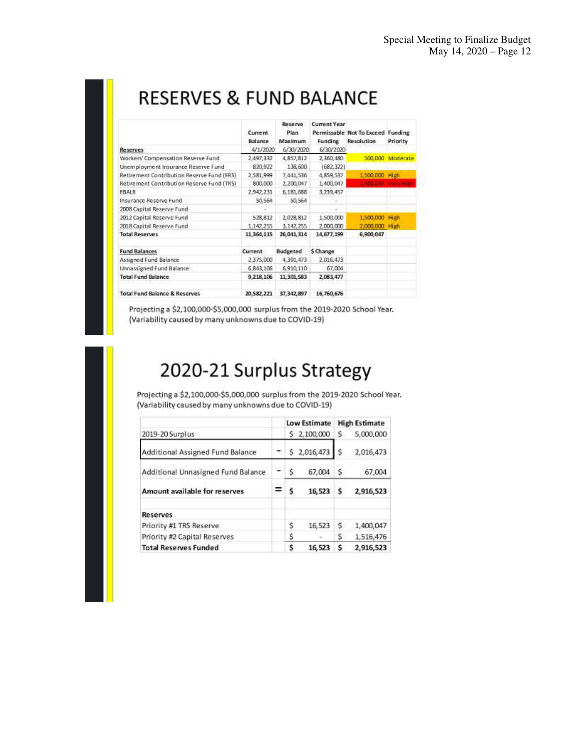## **RESERVES & FUND BALANCE**

|                                            | Current<br>Balance | Reserve<br>Plan<br>Maximum | <b>Current Year</b><br>Funding | Permissable Not To Exceed Funding<br><b>Resolution</b> | Priority         |
|--------------------------------------------|--------------------|----------------------------|--------------------------------|--------------------------------------------------------|------------------|
| <b>Reserves</b>                            | 4/1/2020           | 6/30/2020                  | 6/30/2020                      |                                                        |                  |
| Workers' Compensation Reserve Fund         | 2,497,332          | 4,857,812                  | 2,360,480                      |                                                        | 500,000 Moderate |
| Unemployment Insurance Reserve Fund        | 820,922            | 138,600                    | (682,322)                      |                                                        |                  |
| Retirement Contribution Reserve Fund (ERS) | 2,581,999          | 7,441,536                  | 4,859,537                      | 1,500,000 High                                         |                  |
| Retirement Contribution Reserve Fund (TRS) | 800,000            | 2,200,047                  | 1,400,047                      | <b><i>EXECUTIVE CARDS</i></b>                          | <b>Merk High</b> |
| <b>FBALR</b>                               | 2,942,231          | 6,181,688                  | 3,239,457                      |                                                        |                  |
| Insurance Reserve Fund                     | 50.564             | 50,564                     |                                |                                                        |                  |
| 2008 Capital Reserve Fund                  |                    |                            |                                |                                                        |                  |
| 2012 Capital Reserve Fund                  | 528,812            | 2,028,812                  | 1,500,000                      | 1,500,000 High                                         |                  |
| 2018 Capital Reserve Fund                  | 1,142,255          | 3.142.255                  | 2,000,000                      | 2,000,000 High                                         |                  |
| <b>Total Reserves</b>                      | 11,364,115         | 26,041,314                 | 14,677,199                     | 6,900,047                                              |                  |
| <b>Fund Balances</b>                       | Current            | Budgeted                   | \$ Change                      |                                                        |                  |
| Assigned Fund Balance                      | 2,375,000          | 4,391,473                  | 2,016.473                      |                                                        |                  |
| Unnassigned Fund Balance                   | 6,843,106          | 6,910,110                  | 67.004                         |                                                        |                  |
| <b>Total Fund Balance</b>                  | 9,218,106          | 11, 301, 583               | 2,083,477                      |                                                        |                  |
| <b>Total Fund Balance &amp; Reserves</b>   | 20,582,221         | 37, 342, 897               | 16,760,676                     |                                                        |                  |

Projecting a \$2,100,000-\$5,000,000 surplus from the 2019-2020 School Year. (Variability caused by many unknowns due to COVID-19)

## 2020-21 Surplus Strategy

Projecting a \$2,100,000-\$5,000,000 surplus from the 2019-2020 School Year. (Variability caused by many unknowns due to COVID-19)

|                                    |    | Low Estimate |    | <b>High Estimate</b> |
|------------------------------------|----|--------------|----|----------------------|
| 2019-20 Surplus                    |    | \$2,100,000  | S. | 5,000,000            |
| Additional Assigned Fund Balance   |    | \$2,016,473  | S  | 2,016,473            |
| Additional Unnasigned Fund Balance | Ŝ  | 67.004       | s  | 67,004               |
| Amount available for reserves      | \$ | 16.523       | Ŝ  | 2,916,523            |
| <b>Reserves</b>                    |    |              |    |                      |
| Priority #1 TRS Reserve            | Ś. | 16,523       | Ś  | 1,400,047            |
| Priority #2 Capital Reserves       |    |              | S. | 1,516,476            |
| <b>Total Reserves Funded</b>       | \$ | 16,523       | s  | 2,916,523            |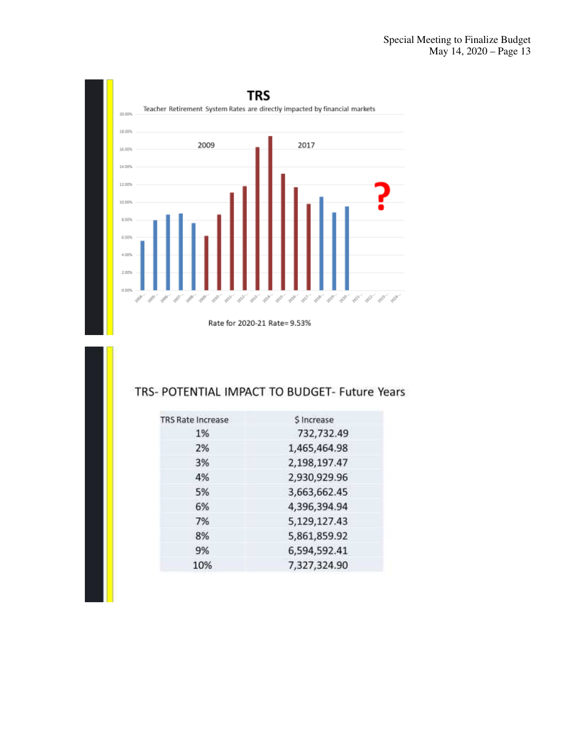

Rate for 2020-21 Rate= 9.53%

### TRS- POTENTIAL IMPACT TO BUDGET- Future Years

| <b>TRS Rate Increase</b> | \$ Increase  |  |
|--------------------------|--------------|--|
| 1%                       | 732,732.49   |  |
| 2%                       | 1,465,464.98 |  |
| 3%                       | 2,198,197.47 |  |
| 4%                       | 2,930,929.96 |  |
| 5%                       | 3,663,662.45 |  |
| 6%                       | 4,396,394.94 |  |
| 7%                       | 5,129,127.43 |  |
| 8%                       | 5,861,859.92 |  |
| 9%                       | 6,594,592.41 |  |
| 10%                      | 7,327,324.90 |  |
|                          |              |  |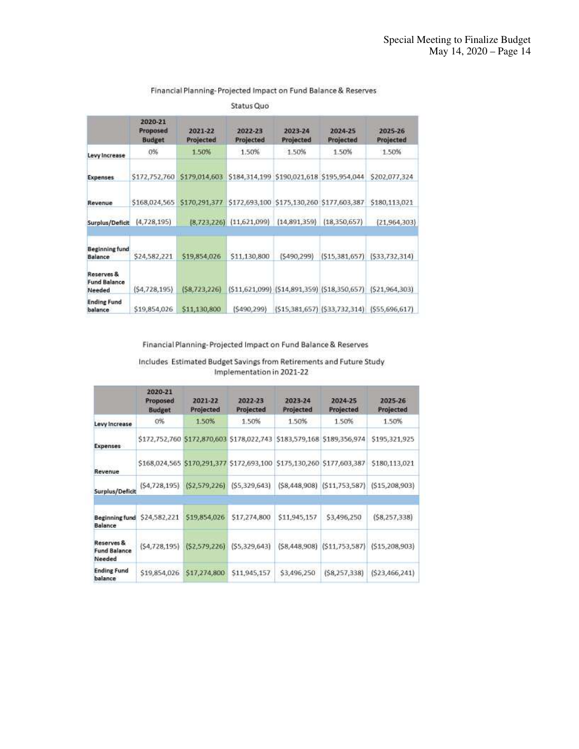### Financial Planning-Projected Impact on Fund Balance & Reserves

Status Quo

|                                             | 2020-21<br>Proposed<br><b>Budget</b> | 2021-22<br>Projected | 2022-23<br>Projected         | 2023-24<br>Projected | 2024-25<br>Projected                         | 2025-26<br>Projected |
|---------------------------------------------|--------------------------------------|----------------------|------------------------------|----------------------|----------------------------------------------|----------------------|
| Levy Increase                               | 0%                                   | 1.50%                | 1.50%                        | 1.50%                | 1.50%                                        | 1.50%                |
| <b>Expenses</b>                             | \$172,752,760                        | \$179,014,603        | \$184,314,199                |                      | \$190,021,618 \$195,954,044                  | \$202,077,324        |
| Revenue                                     | \$168,024,565                        | \$170,291,377        |                              |                      | \$172,693,100 \$175,130,260 \$177,603,387    | \$180,113,021        |
| Surplus/Deficit                             | (4,728,195)                          |                      | $(8,723,226)$ $(11,621,099)$ | (14,891,359)         | (18, 350, 657)                               | [21,964,303]         |
| <b>Beginning fund</b><br>Balance            | \$24,582,221                         | 519,854,026          | \$11,130,800                 | (5490,299)           | (515, 381, 657)                              | (533, 732, 314)      |
| Reserves &<br><b>Fund Balance</b><br>Needed | (54, 728, 195)                       | (58, 723, 226)       |                              |                      | (\$11,621,099) (\$14,891,359) (\$18,350,657) | (521, 964, 303)      |
| <b>Ending Fund</b><br>balance               | \$19,854,026                         | \$11,130,800         | (5490, 299)                  |                      | $(515, 381, 657)$ $(533, 732, 314)$          | (555, 696, 617)      |

#### Financial Planning-Projected Impact on Fund Balance & Reserves

#### Includes Estimated Budget Savings from Retirements and Future Study Implementation in 2021-22

|                                             | 2020-21<br>Proposed<br><b>Budget</b> | 2021-22<br>Projected | 2022-23<br>Projected                      | 2023-24<br>Projected | 2024-25<br>Projected        | 2025-26<br>Projected |
|---------------------------------------------|--------------------------------------|----------------------|-------------------------------------------|----------------------|-----------------------------|----------------------|
| Levy Increase                               | 0%                                   | 1.50%                | 1.50%                                     | 1.50%                | 1.50%                       | 1.50%                |
| Expenses                                    |                                      |                      | \$172,752,760 \$172,870,603 \$178,022,743 |                      | \$183,579,168 \$189,356,974 | \$195,321,925        |
| Revenue                                     |                                      |                      | \$168,024,565 \$170,291,377 \$172,693,100 | \$175,130,260        | \$177,603,387               | \$180,113,021        |
| Surplus/Deficit                             | (S4, 728, 195)                       | (S2, 579, 226)       | (55, 329, 643)                            | (58, 448, 908)       | (S11,753,587)               | (S15, 208, 903)      |
| <b>Beginning fund</b><br><b>Balance</b>     | \$24,582,221                         | \$19,854,026         | 517,274,800                               | \$11,945,157         | \$3,496,250                 | (58, 257, 338)       |
| Reserves &<br><b>Fund Balance</b><br>Needed | (54, 728, 195)                       | (52, 579, 226)       | (55, 329, 643)                            | (58, 448, 908)       | (S11, 753, 587)             | (515, 208, 903)      |
| <b>Ending Fund</b><br>balance               | \$19,854,026                         | \$17,274,800         | \$11,945,157                              | \$3,496,250          | (58, 257, 338)              | (S23, 466, 241)      |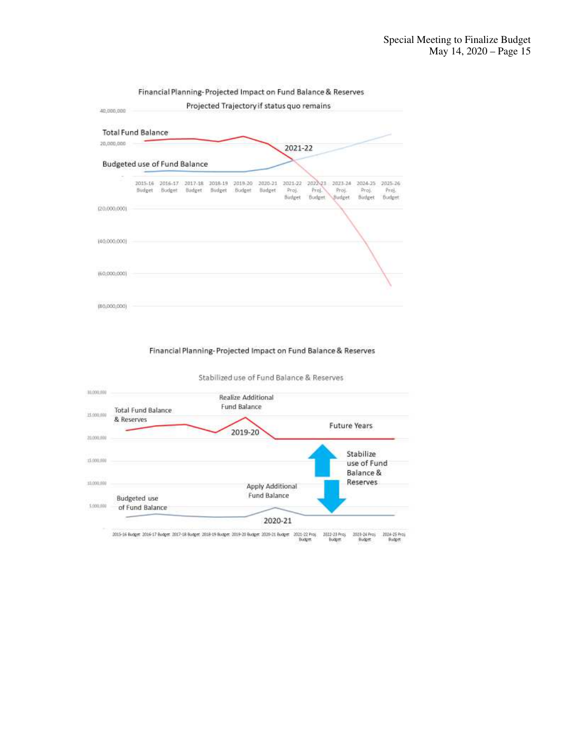

#### Financial Planning-Projected Impact on Fund Balance & Reserves



Stabilized use of Fund Balance & Reserves

 $2015$  for  $52$  maps:  $2016$  TP maps:  $2017$  maps:  $2018$  maps:  $2018$  maps:  $2020$  maps:  $2011$  maps:  $2016$  maps: 2022-23-Proj.<br>Budget 2123-24 Proj 2024-25 Proj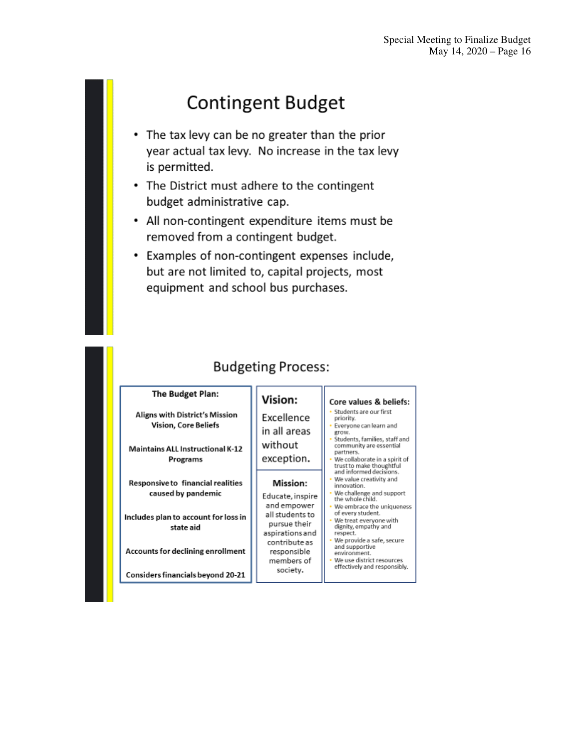## **Contingent Budget**

- The tax levy can be no greater than the prior year actual tax levy. No increase in the tax levy is permitted.
- The District must adhere to the contingent budget administrative cap.
- All non-contingent expenditure items must be removed from a contingent budget.
- Examples of non-contingent expenses include, but are not limited to, capital projects, most equipment and school bus purchases.

| The Budget Plan:                                        | Vision:                                            |                                                                                                                                                                              |  |  |
|---------------------------------------------------------|----------------------------------------------------|------------------------------------------------------------------------------------------------------------------------------------------------------------------------------|--|--|
| Aligns with District's Mission<br>Vision, Core Beliefs  | Excellence                                         | Core values & beliefs:<br>• Students are our first<br>priority.<br>Everyone can learn and<br>grow.<br>Students, families, staff and<br>community are essential<br>partners.  |  |  |
| <b>Maintains ALL Instructional K-12</b>                 | in all areas<br>without                            |                                                                                                                                                                              |  |  |
| Programs                                                | exception.                                         | We collaborate in a spirit of<br>trust to make thoughtful<br>and informed decisions.<br>We value creativity and                                                              |  |  |
| Responsive to financial realities<br>caused by pandemic | Mission:<br>Educate, inspire<br>and empower        | innovation.<br>We challenge and support<br>the whole child<br>• We embrace the uniqueness<br>of every student.<br>We treat everyone with<br>dignity, empathy and<br>respect. |  |  |
| Includes plan to account for loss in<br>state aid       | all students to<br>pursue their<br>aspirations and |                                                                                                                                                                              |  |  |
| <b>Accounts for declining enrollment</b>                | contribute as<br>responsible<br>members of         | We provide a safe, secure<br>and supportive<br>environment.<br>We use district resources<br>effectively and responsibly.                                                     |  |  |
| <b>Considers financials beyond 20-21</b>                | society.                                           |                                                                                                                                                                              |  |  |

### **Budgeting Process:**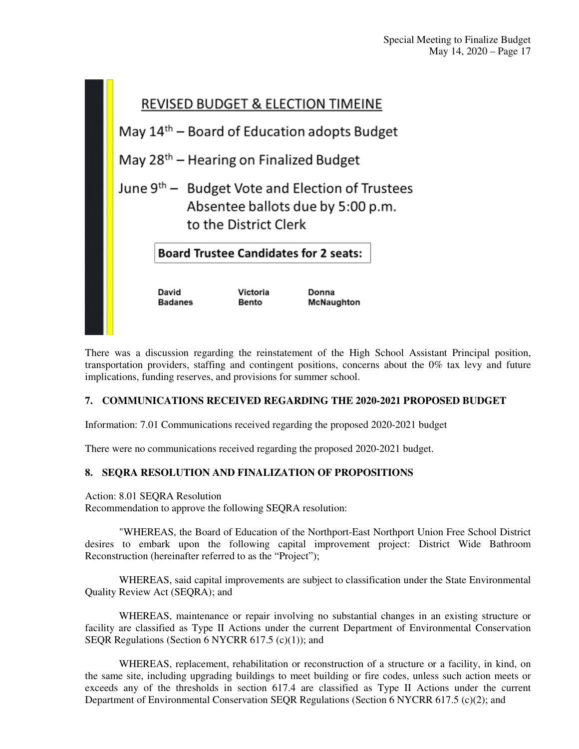

There was a discussion regarding the reinstatement of the High School Assistant Principal position, transportation providers, staffing and contingent positions, concerns about the 0% tax levy and future implications, funding reserves, and provisions for summer school.

### **7. COMMUNICATIONS RECEIVED REGARDING THE 2020-2021 PROPOSED BUDGET**

Information: 7.01 Communications received regarding the proposed 2020-2021 budget

There were no communications received regarding the proposed 2020-2021 budget.

### **8. SEQRA RESOLUTION AND FINALIZATION OF PROPOSITIONS**

Action: 8.01 SEQRA Resolution

Recommendation to approve the following SEQRA resolution:

"WHEREAS, the Board of Education of the Northport-East Northport Union Free School District desires to embark upon the following capital improvement project: District Wide Bathroom Reconstruction (hereinafter referred to as the "Project");

WHEREAS, said capital improvements are subject to classification under the State Environmental Quality Review Act (SEQRA); and

WHEREAS, maintenance or repair involving no substantial changes in an existing structure or facility are classified as Type II Actions under the current Department of Environmental Conservation SEQR Regulations (Section 6 NYCRR 617.5 (c)(1)); and

WHEREAS, replacement, rehabilitation or reconstruction of a structure or a facility, in kind, on the same site, including upgrading buildings to meet building or fire codes, unless such action meets or exceeds any of the thresholds in section 617.4 are classified as Type II Actions under the current Department of Environmental Conservation SEQR Regulations (Section 6 NYCRR 617.5 (c)(2); and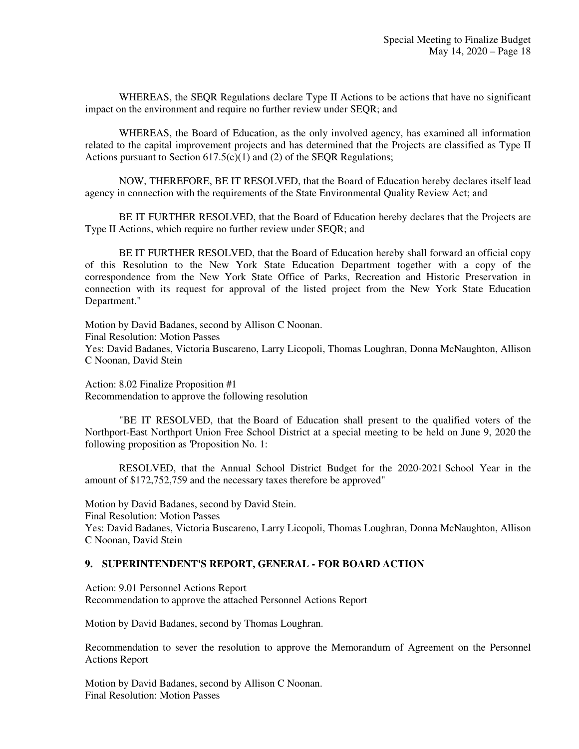WHEREAS, the SEQR Regulations declare Type II Actions to be actions that have no significant impact on the environment and require no further review under SEQR; and

WHEREAS, the Board of Education, as the only involved agency, has examined all information related to the capital improvement projects and has determined that the Projects are classified as Type II Actions pursuant to Section  $617.5(c)(1)$  and (2) of the SEOR Regulations;

NOW, THEREFORE, BE IT RESOLVED, that the Board of Education hereby declares itself lead agency in connection with the requirements of the State Environmental Quality Review Act; and

BE IT FURTHER RESOLVED, that the Board of Education hereby declares that the Projects are Type II Actions, which require no further review under SEQR; and

BE IT FURTHER RESOLVED, that the Board of Education hereby shall forward an official copy of this Resolution to the New York State Education Department together with a copy of the correspondence from the New York State Office of Parks, Recreation and Historic Preservation in connection with its request for approval of the listed project from the New York State Education Department."

Motion by David Badanes, second by Allison C Noonan. Final Resolution: Motion Passes Yes: David Badanes, Victoria Buscareno, Larry Licopoli, Thomas Loughran, Donna McNaughton, Allison C Noonan, David Stein

Action: 8.02 Finalize Proposition #1 Recommendation to approve the following resolution

"BE IT RESOLVED, that the Board of Education shall present to the qualified voters of the Northport-East Northport Union Free School District at a special meeting to be held on June 9, 2020 the following proposition as 'Proposition No. 1:

RESOLVED, that the Annual School District Budget for the 2020-2021 School Year in the amount of \$172,752,759 and the necessary taxes therefore be approved"

Motion by David Badanes, second by David Stein. Final Resolution: Motion Passes Yes: David Badanes, Victoria Buscareno, Larry Licopoli, Thomas Loughran, Donna McNaughton, Allison C Noonan, David Stein

### **9. SUPERINTENDENT'S REPORT, GENERAL - FOR BOARD ACTION**

Action: 9.01 Personnel Actions Report Recommendation to approve the attached Personnel Actions Report

Motion by David Badanes, second by Thomas Loughran.

Recommendation to sever the resolution to approve the Memorandum of Agreement on the Personnel Actions Report

Motion by David Badanes, second by Allison C Noonan. Final Resolution: Motion Passes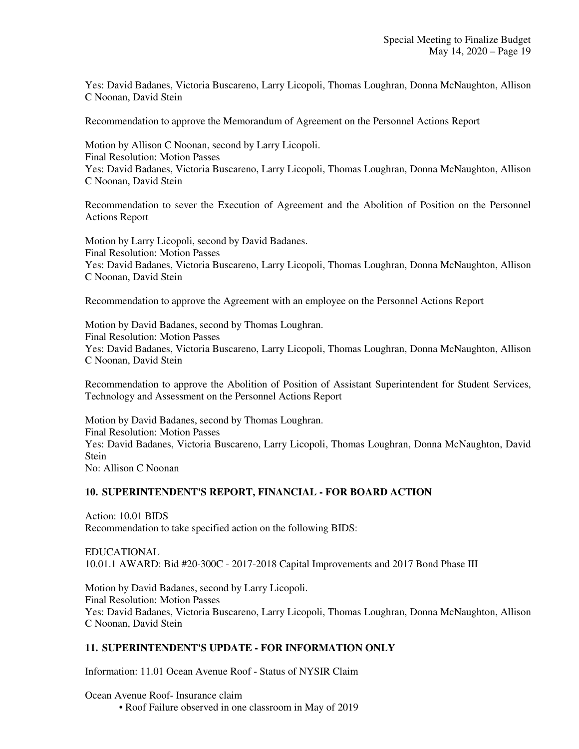Yes: David Badanes, Victoria Buscareno, Larry Licopoli, Thomas Loughran, Donna McNaughton, Allison C Noonan, David Stein

Recommendation to approve the Memorandum of Agreement on the Personnel Actions Report

Motion by Allison C Noonan, second by Larry Licopoli. Final Resolution: Motion Passes Yes: David Badanes, Victoria Buscareno, Larry Licopoli, Thomas Loughran, Donna McNaughton, Allison C Noonan, David Stein

Recommendation to sever the Execution of Agreement and the Abolition of Position on the Personnel Actions Report

Motion by Larry Licopoli, second by David Badanes. Final Resolution: Motion Passes Yes: David Badanes, Victoria Buscareno, Larry Licopoli, Thomas Loughran, Donna McNaughton, Allison C Noonan, David Stein

Recommendation to approve the Agreement with an employee on the Personnel Actions Report

Motion by David Badanes, second by Thomas Loughran. Final Resolution: Motion Passes Yes: David Badanes, Victoria Buscareno, Larry Licopoli, Thomas Loughran, Donna McNaughton, Allison C Noonan, David Stein

Recommendation to approve the Abolition of Position of Assistant Superintendent for Student Services, Technology and Assessment on the Personnel Actions Report

Motion by David Badanes, second by Thomas Loughran. Final Resolution: Motion Passes Yes: David Badanes, Victoria Buscareno, Larry Licopoli, Thomas Loughran, Donna McNaughton, David **Stein** No: Allison C Noonan

### **10. SUPERINTENDENT'S REPORT, FINANCIAL - FOR BOARD ACTION**

Action: 10.01 BIDS Recommendation to take specified action on the following BIDS:

EDUCATIONAL 10.01.1 AWARD: Bid #20-300C - 2017-2018 Capital Improvements and 2017 Bond Phase III

Motion by David Badanes, second by Larry Licopoli. Final Resolution: Motion Passes Yes: David Badanes, Victoria Buscareno, Larry Licopoli, Thomas Loughran, Donna McNaughton, Allison C Noonan, David Stein

### **11. SUPERINTENDENT'S UPDATE - FOR INFORMATION ONLY**

Information: 11.01 Ocean Avenue Roof - Status of NYSIR Claim

Ocean Avenue Roof- Insurance claim

• Roof Failure observed in one classroom in May of 2019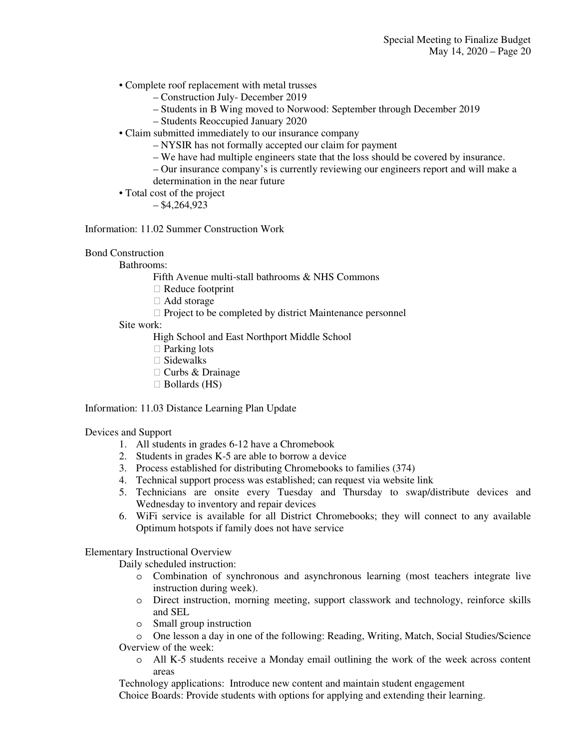• Complete roof replacement with metal trusses

- Construction July- December 2019
- Students in B Wing moved to Norwood: September through December 2019
- Students Reoccupied January 2020
- Claim submitted immediately to our insurance company
	- NYSIR has not formally accepted our claim for payment
	- We have had multiple engineers state that the loss should be covered by insurance.
	- Our insurance company's is currently reviewing our engineers report and will make a determination in the near future
- Total cost of the project

 $-$  \$4,264,923

Information: 11.02 Summer Construction Work

### Bond Construction

#### Bathrooms:

Fifth Avenue multi-stall bathrooms & NHS Commons

Reduce footprint

Add storage

Project to be completed by district Maintenance personnel

Site work:

High School and East Northport Middle School Parking lots Sidewalks Curbs & Drainage Bollards (HS)

Information: 11.03 Distance Learning Plan Update

### Devices and Support

- 1. All students in grades 6-12 have a Chromebook
- 2. Students in grades K-5 are able to borrow a device
- 3. Process established for distributing Chromebooks to families (374)
- 4. Technical support process was established; can request via website link
- 5. Technicians are onsite every Tuesday and Thursday to swap/distribute devices and Wednesday to inventory and repair devices
- 6. WiFi service is available for all District Chromebooks; they will connect to any available Optimum hotspots if family does not have service

### Elementary Instructional Overview

Daily scheduled instruction:

- o Combination of synchronous and asynchronous learning (most teachers integrate live instruction during week).
- o Direct instruction, morning meeting, support classwork and technology, reinforce skills and SEL
- o Small group instruction

o One lesson a day in one of the following: Reading, Writing, Match, Social Studies/Science Overview of the week:

o All K-5 students receive a Monday email outlining the work of the week across content areas

Technology applications: Introduce new content and maintain student engagement Choice Boards: Provide students with options for applying and extending their learning.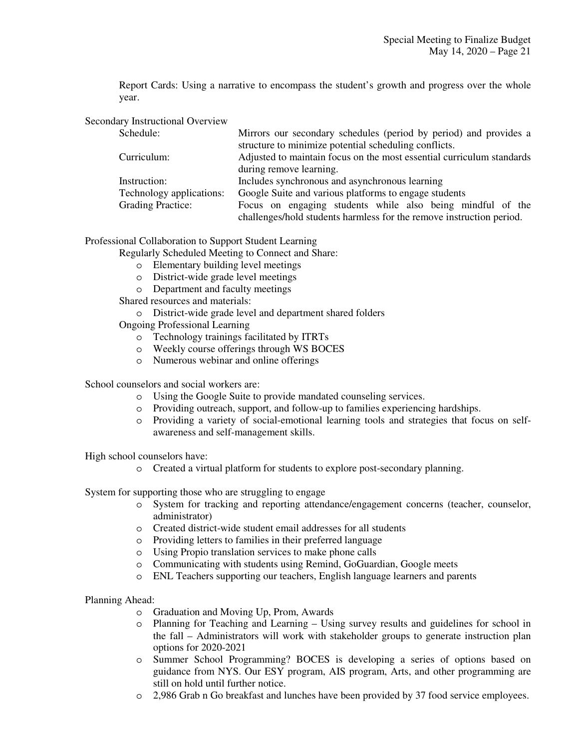Report Cards: Using a narrative to encompass the student's growth and progress over the whole year.

#### Secondary Instructional Overview

| Mirrors our secondary schedules (period by period) and provides a                                                                  |  |  |  |  |
|------------------------------------------------------------------------------------------------------------------------------------|--|--|--|--|
| structure to minimize potential scheduling conflicts.                                                                              |  |  |  |  |
| Adjusted to maintain focus on the most essential curriculum standards                                                              |  |  |  |  |
| during remove learning.                                                                                                            |  |  |  |  |
| Includes synchronous and asynchronous learning                                                                                     |  |  |  |  |
| Google Suite and various platforms to engage students                                                                              |  |  |  |  |
| Focus on engaging students while also being mindful of the<br>challenges/hold students harmless for the remove instruction period. |  |  |  |  |
|                                                                                                                                    |  |  |  |  |

### Professional Collaboration to Support Student Learning

Regularly Scheduled Meeting to Connect and Share:

- o Elementary building level meetings
- o District-wide grade level meetings
- o Department and faculty meetings

Shared resources and materials:

- o District-wide grade level and department shared folders
- Ongoing Professional Learning
	- o Technology trainings facilitated by ITRTs
	- o Weekly course offerings through WS BOCES
	- o Numerous webinar and online offerings

School counselors and social workers are:

- o Using the Google Suite to provide mandated counseling services.
- o Providing outreach, support, and follow-up to families experiencing hardships.
- o Providing a variety of social-emotional learning tools and strategies that focus on selfawareness and self-management skills.

High school counselors have:

o Created a virtual platform for students to explore post-secondary planning.

System for supporting those who are struggling to engage

- o System for tracking and reporting attendance/engagement concerns (teacher, counselor, administrator)
- o Created district-wide student email addresses for all students
- o Providing letters to families in their preferred language
- o Using Propio translation services to make phone calls
- o Communicating with students using Remind, GoGuardian, Google meets
- o ENL Teachers supporting our teachers, English language learners and parents

Planning Ahead:

- o Graduation and Moving Up, Prom, Awards
- o Planning for Teaching and Learning Using survey results and guidelines for school in the fall – Administrators will work with stakeholder groups to generate instruction plan options for 2020-2021
- o Summer School Programming? BOCES is developing a series of options based on guidance from NYS. Our ESY program, AIS program, Arts, and other programming are still on hold until further notice.
- o 2,986 Grab n Go breakfast and lunches have been provided by 37 food service employees.